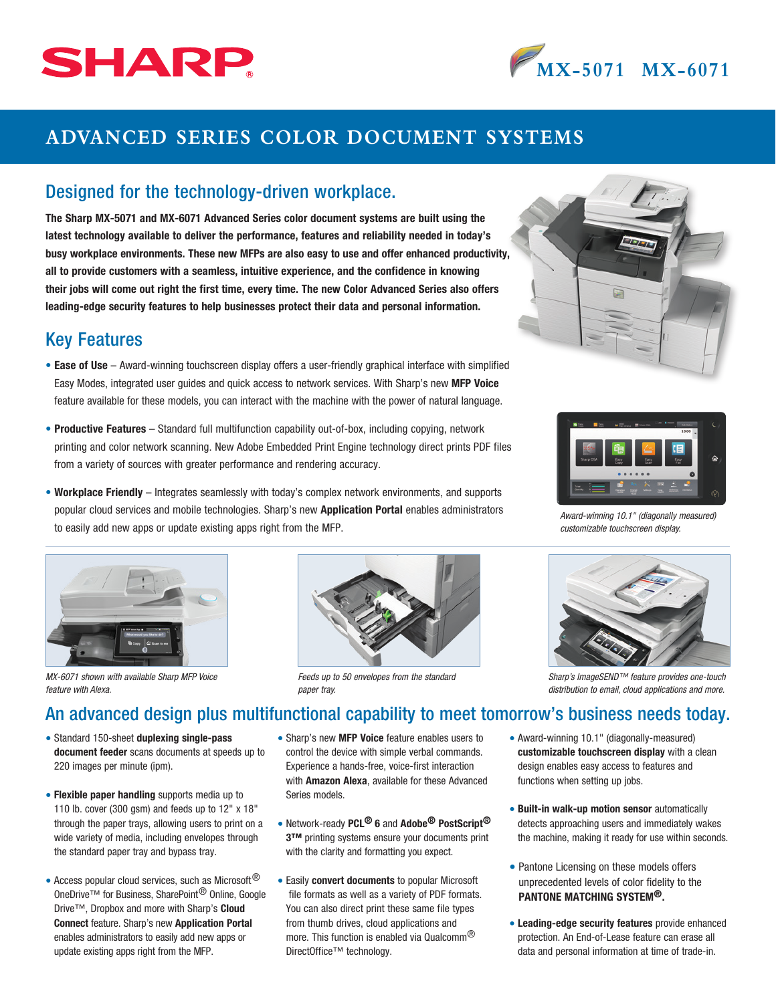# SHARP



## **ADVANCED SERIES COLOR DOCUMENT SYSTEMS**

#### Designed for the technology-driven workplace.

The Sharp MX-5071 and MX-6071 Advanced Series color document systems are built using the latest technology available to deliver the performance, features and reliability needed in today's busy workplace environments. These new MFPs are also easy to use and offer enhanced productivity, all to provide customers with a seamless, intuitive experience, and the confidence in knowing their jobs will come out right the first time, every time. The new Color Advanced Series also offers leading-edge security features to help businesses protect their data and personal information.

#### Key Features

- Ease of Use Award-winning touchscreen display offers a user-friendly graphical interface with simplified Easy Modes, integrated user guides and quick access to network services. With Sharp's new MFP Voice feature available for these models, you can interact with the machine with the power of natural language.
- Productive Features Standard full multifunction capability out-of-box, including copying, network printing and color network scanning. New Adobe Embedded Print Engine technology direct prints PDF files from a variety of sources with greater performance and rendering accuracy.
- Workplace Friendly Integrates seamlessly with today's complex network environments, and supports popular cloud services and mobile technologies. Sharp's new Application Portal enables administrators to easily add new apps or update existing apps right from the MFP.



*MX-6071 shown with available Sharp MFP Voice feature with Alexa.*



*Feeds up to 50 envelopes from the standard paper tray.*





### An advanced design plus multifunctional capability to meet tomorrow's business needs today.

- Standard 150-sheet duplexing single-pass document feeder scans documents at speeds up to 220 images per minute (ipm).
- Flexible paper handling supports media up to 110 lb. cover (300 gsm) and feeds up to 12" x 18" through the paper trays, allowing users to print on a wide variety of media, including envelopes through the standard paper tray and bypass tray.
- Access popular cloud services, such as Microsoft<sup>®</sup> OneDrive™ for Business, SharePoint® Online, Google Drive™, Dropbox and more with Sharp's Cloud Connect feature. Sharp's new Application Portal enables administrators to easily add new apps or update existing apps right from the MFP.
- Sharp's new MFP Voice feature enables users to control the device with simple verbal commands. Experience a hands-free, voice-first interaction with Amazon Alexa, available for these Advanced Series models.
- Network-ready PCL<sup>®</sup> 6 and Adobe<sup>®</sup> PostScript<sup>®</sup> 3™ printing systems ensure your documents print with the clarity and formatting you expect.
- Easily convert documents to popular Microsoft file formats as well as a variety of PDF formats. You can also direct print these same file types from thumb drives, cloud applications and more. This function is enabled via Qualcomm<sup>®</sup> DirectOffice™ technology.
- Award-winning 10.1" (diagonally-measured) customizable touchscreen display with a clean design enables easy access to features and functions when setting up jobs.
- Built-in walk-up motion sensor automatically detects approaching users and immediately wakes the machine, making it ready for use within seconds.
- Pantone Licensing on these models offers unprecedented levels of color fidelity to the PANTONE MATCHING SYSTEM®.
- Leading-edge security features provide enhanced protection. An End-of-Lease feature can erase all data and personal information at time of trade-in.





*Award-winning 10.1" (diagonally measured) customizable touchscreen display.*